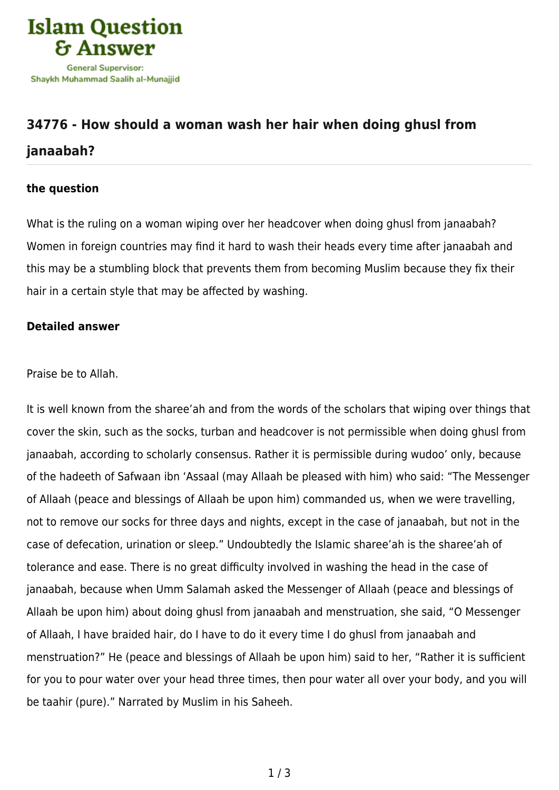

## **[34776 - How should a woman wash her hair when doing ghusl from](https://islamqa.com/en/answers/34776/how-should-a-woman-wash-her-hair-when-doing-ghusl-from-janaabah) [janaabah?](https://islamqa.com/en/answers/34776/how-should-a-woman-wash-her-hair-when-doing-ghusl-from-janaabah)**

## **the question**

What is the ruling on a woman wiping over her headcover when doing ghusl from janaabah? Women in foreign countries may find it hard to wash their heads every time after janaabah and this may be a stumbling block that prevents them from becoming Muslim because they fix their hair in a certain style that may be affected by washing.

## **Detailed answer**

Praise be to Allah.

It is well known from the sharee'ah and from the words of the scholars that wiping over things that cover the skin, such as the socks, turban and headcover is not permissible when doing ghusl from janaabah, according to scholarly consensus. Rather it is permissible during wudoo' only, because of the hadeeth of Safwaan ibn 'Assaal (may Allaah be pleased with him) who said: "The Messenger of Allaah (peace and blessings of Allaah be upon him) commanded us, when we were travelling, not to remove our socks for three days and nights, except in the case of janaabah, but not in the case of defecation, urination or sleep." Undoubtedly the Islamic sharee'ah is the sharee'ah of tolerance and ease. There is no great difficulty involved in washing the head in the case of janaabah, because when Umm Salamah asked the Messenger of Allaah (peace and blessings of Allaah be upon him) about doing ghusl from janaabah and menstruation, she said, "O Messenger of Allaah, I have braided hair, do I have to do it every time I do ghusl from janaabah and menstruation?" He (peace and blessings of Allaah be upon him) said to her, "Rather it is sufficient for you to pour water over your head three times, then pour water all over your body, and you will be taahir (pure)." Narrated by Muslim in his Saheeh.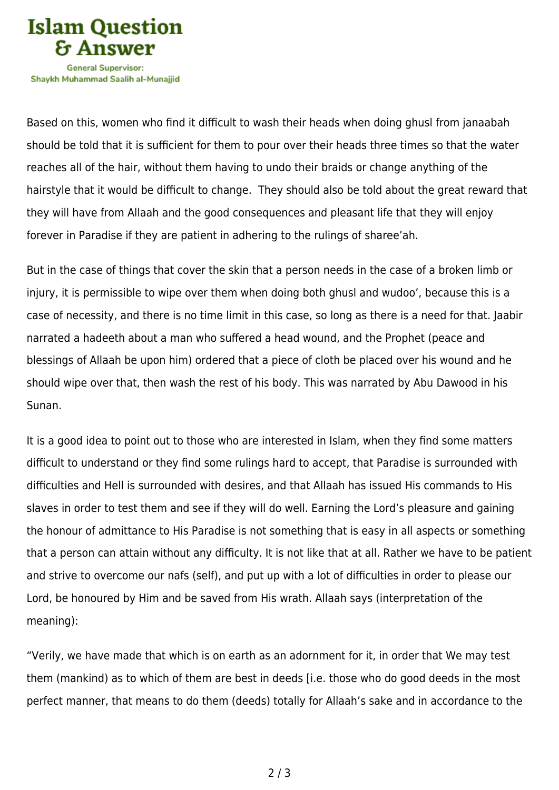

Shavkh Muhammad Saalih al-Munaiiid

Based on this, women who find it difficult to wash their heads when doing ghusl from janaabah should be told that it is sufficient for them to pour over their heads three times so that the water reaches all of the hair, without them having to undo their braids or change anything of the hairstyle that it would be difficult to change. They should also be told about the great reward that they will have from Allaah and the good consequences and pleasant life that they will enjoy forever in Paradise if they are patient in adhering to the rulings of sharee'ah.

But in the case of things that cover the skin that a person needs in the case of a broken limb or injury, it is permissible to wipe over them when doing both ghusl and wudoo', because this is a case of necessity, and there is no time limit in this case, so long as there is a need for that. Jaabir narrated a hadeeth about a man who suffered a head wound, and the Prophet (peace and blessings of Allaah be upon him) ordered that a piece of cloth be placed over his wound and he should wipe over that, then wash the rest of his body. This was narrated by Abu Dawood in his Sunan.

It is a good idea to point out to those who are interested in Islam, when they find some matters difficult to understand or they find some rulings hard to accept, that Paradise is surrounded with difficulties and Hell is surrounded with desires, and that Allaah has issued His commands to His slaves in order to test them and see if they will do well. Earning the Lord's pleasure and gaining the honour of admittance to His Paradise is not something that is easy in all aspects or something that a person can attain without any difficulty. It is not like that at all. Rather we have to be patient and strive to overcome our nafs (self), and put up with a lot of difficulties in order to please our Lord, be honoured by Him and be saved from His wrath. Allaah says (interpretation of the meaning):

"Verily, we have made that which is on earth as an adornment for it, in order that We may test them (mankind) as to which of them are best in deeds [i.e. those who do good deeds in the most perfect manner, that means to do them (deeds) totally for Allaah's sake and in accordance to the

2 / 3